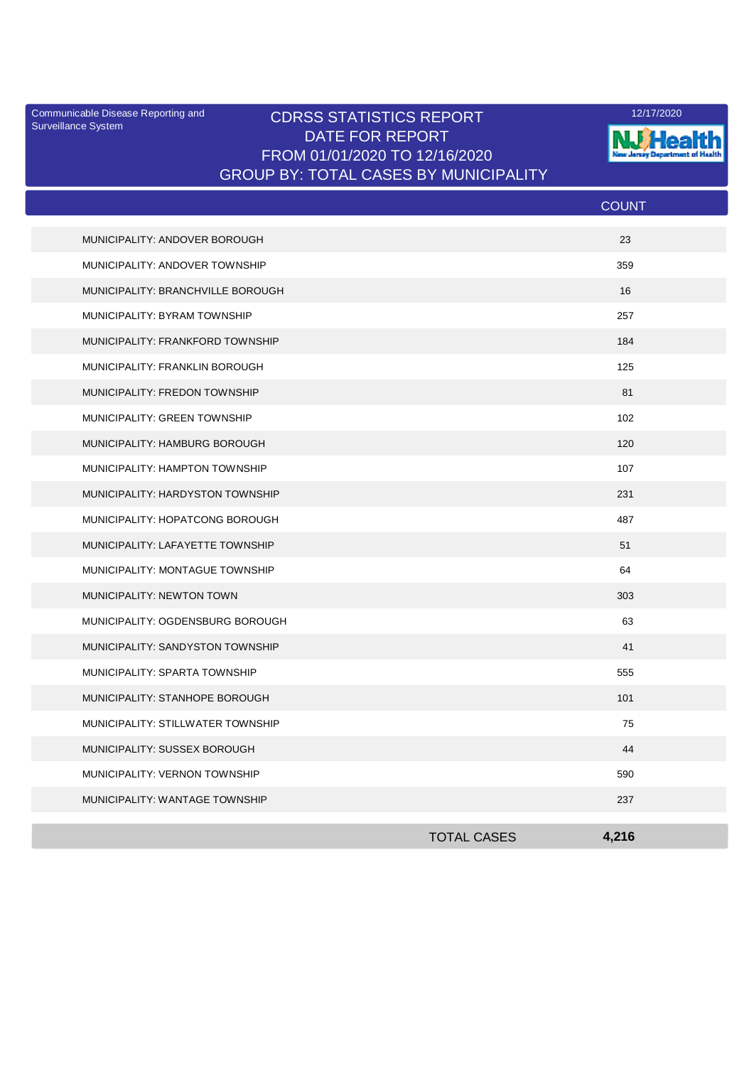Surveillance System

## Communicable Disease Reporting and **CDRSS STATISTICS REPORT** 12/17/2020<br>Surveillance Statem DATE FOR REPORT FROM 01/01/2020 TO 12/16/2020 GROUP BY: TOTAL CASES BY MUNICIPALITY



|                                   |                    | <b>COUNT</b> |
|-----------------------------------|--------------------|--------------|
| MUNICIPALITY: ANDOVER BOROUGH     |                    | 23           |
| MUNICIPALITY: ANDOVER TOWNSHIP    |                    | 359          |
| MUNICIPALITY: BRANCHVILLE BOROUGH |                    | 16           |
| MUNICIPALITY: BYRAM TOWNSHIP      |                    | 257          |
| MUNICIPALITY: FRANKFORD TOWNSHIP  |                    | 184          |
| MUNICIPALITY: FRANKLIN BOROUGH    |                    | 125          |
| MUNICIPALITY: FREDON TOWNSHIP     |                    | 81           |
| MUNICIPALITY: GREEN TOWNSHIP      |                    | 102          |
| MUNICIPALITY: HAMBURG BOROUGH     |                    | 120          |
| MUNICIPALITY: HAMPTON TOWNSHIP    |                    | 107          |
| MUNICIPALITY: HARDYSTON TOWNSHIP  |                    | 231          |
| MUNICIPALITY: HOPATCONG BOROUGH   |                    | 487          |
| MUNICIPALITY: LAFAYETTE TOWNSHIP  |                    | 51           |
| MUNICIPALITY: MONTAGUE TOWNSHIP   |                    | 64           |
| MUNICIPALITY: NEWTON TOWN         |                    | 303          |
| MUNICIPALITY: OGDENSBURG BOROUGH  |                    | 63           |
| MUNICIPALITY: SANDYSTON TOWNSHIP  |                    | 41           |
| MUNICIPALITY: SPARTA TOWNSHIP     |                    | 555          |
| MUNICIPALITY: STANHOPE BOROUGH    |                    | 101          |
| MUNICIPALITY: STILLWATER TOWNSHIP |                    | 75           |
| MUNICIPALITY: SUSSEX BOROUGH      |                    | 44           |
| MUNICIPALITY: VERNON TOWNSHIP     |                    | 590          |
| MUNICIPALITY: WANTAGE TOWNSHIP    |                    | 237          |
|                                   | <b>TOTAL CASES</b> | 4.216        |